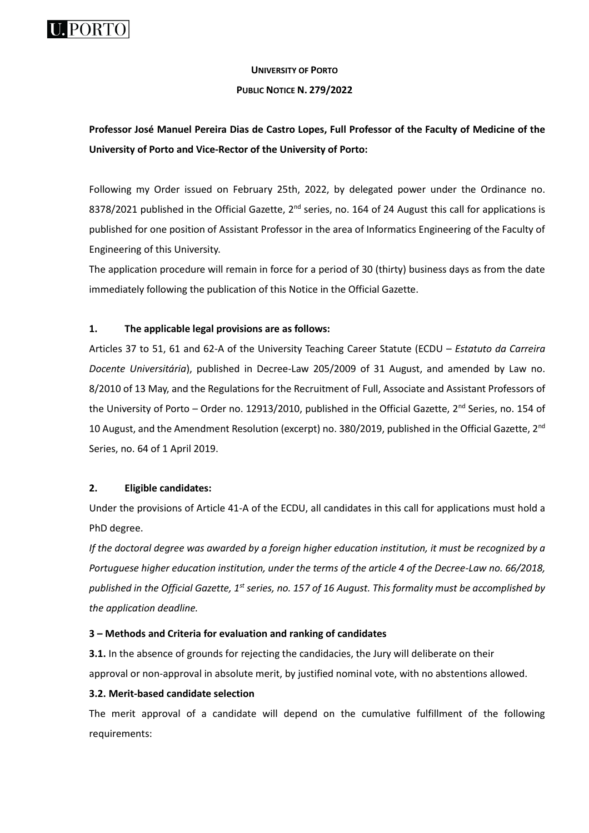

# **UNIVERSITY OF PORTO**

## **PUBLIC NOTICE N. 279/2022**

# **Professor José Manuel Pereira Dias de Castro Lopes, Full Professor of the Faculty of Medicine of the University of Porto and Vice-Rector of the University of Porto:**

Following my Order issued on February 25th, 2022, by delegated power under the Ordinance no. 8378/2021 published in the Official Gazette, 2<sup>nd</sup> series, no. 164 of 24 August this call for applications is published for one position of Assistant Professor in the area of Informatics Engineering of the Faculty of Engineering of this University.

The application procedure will remain in force for a period of 30 (thirty) business days as from the date immediately following the publication of this Notice in the Official Gazette.

# **1. The applicable legal provisions are as follows:**

Articles 37 to 51, 61 and 62-A of the University Teaching Career Statute (ECDU – *Estatuto da Carreira Docente Universitária*), published in Decree-Law 205/2009 of 31 August, and amended by Law no. 8/2010 of 13 May, and the Regulations for the Recruitment of Full, Associate and Assistant Professors of the University of Porto - Order no. 12913/2010, published in the Official Gazette, 2<sup>nd</sup> Series, no. 154 of 10 August, and the Amendment Resolution (excerpt) no. 380/2019, published in the Official Gazette, 2<sup>nd</sup> Series, no. 64 of 1 April 2019.

# **2. Eligible candidates:**

Under the provisions of Article 41-A of the ECDU, all candidates in this call for applications must hold a PhD degree.

*If the doctoral degree was awarded by a foreign higher education institution, it must be recognized by a Portuguese higher education institution, under the terms of the article 4 of the Decree-Law no. 66/2018, published in the Official Gazette, 1st series, no. 157 of 16 August. This formality must be accomplished by the application deadline.*

# **3 – Methods and Criteria for evaluation and ranking of candidates**

**3.1.** In the absence of grounds for rejecting the candidacies, the Jury will deliberate on their approval or non-approval in absolute merit, by justified nominal vote, with no abstentions allowed.

# **3.2. Merit-based candidate selection**

The merit approval of a candidate will depend on the cumulative fulfillment of the following requirements: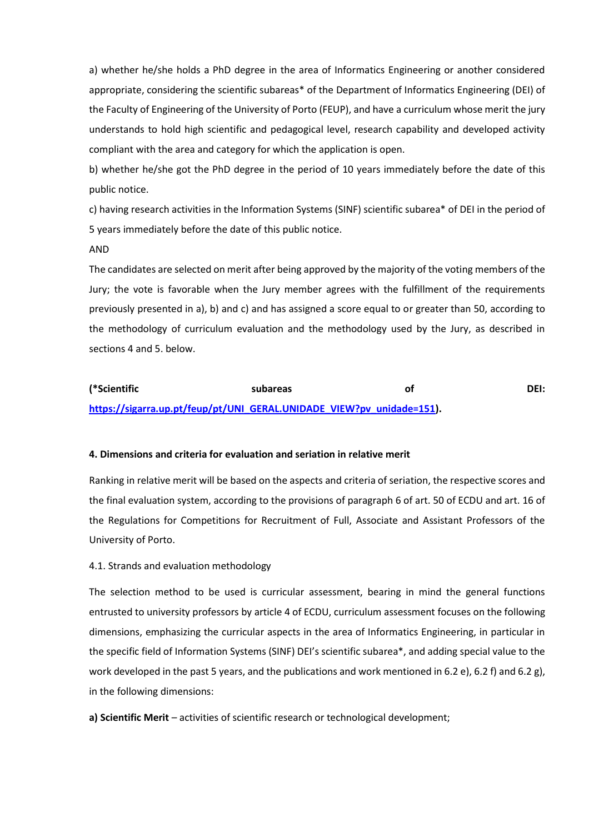a) whether he/she holds a PhD degree in the area of Informatics Engineering or another considered appropriate, considering the scientific subareas\* of the Department of Informatics Engineering (DEI) of the Faculty of Engineering of the University of Porto (FEUP), and have a curriculum whose merit the jury understands to hold high scientific and pedagogical level, research capability and developed activity compliant with the area and category for which the application is open.

b) whether he/she got the PhD degree in the period of 10 years immediately before the date of this public notice.

c) having research activities in the Information Systems (SINF) scientific subarea\* of DEI in the period of 5 years immediately before the date of this public notice.

#### AND

The candidates are selected on merit after being approved by the majority of the voting members of the Jury; the vote is favorable when the Jury member agrees with the fulfillment of the requirements previously presented in a), b) and c) and has assigned a score equal to or greater than 50, according to the methodology of curriculum evaluation and the methodology used by the Jury, as described in sections 4 and 5. below.

# **(\*Scientific subareas of DEI: [https://sigarra.up.pt/feup/pt/UNI\\_GERAL.UNIDADE\\_VIEW?pv\\_unidade=151\)](https://sigarra.up.pt/feup/pt/UNI_GERAL.UNIDADE_VIEW?pv_unidade=151).**

### **4. Dimensions and criteria for evaluation and seriation in relative merit**

Ranking in relative merit will be based on the aspects and criteria of seriation, the respective scores and the final evaluation system, according to the provisions of paragraph 6 of art. 50 of ECDU and art. 16 of the Regulations for Competitions for Recruitment of Full, Associate and Assistant Professors of the University of Porto.

#### 4.1. Strands and evaluation methodology

The selection method to be used is curricular assessment, bearing in mind the general functions entrusted to university professors by article 4 of ECDU, curriculum assessment focuses on the following dimensions, emphasizing the curricular aspects in the area of Informatics Engineering, in particular in the specific field of Information Systems (SINF) DEI's scientific subarea\*, and adding special value to the work developed in the past 5 years, and the publications and work mentioned in 6.2 e), 6.2 f) and 6.2 g), in the following dimensions:

**a) Scientific Merit** – activities of scientific research or technological development;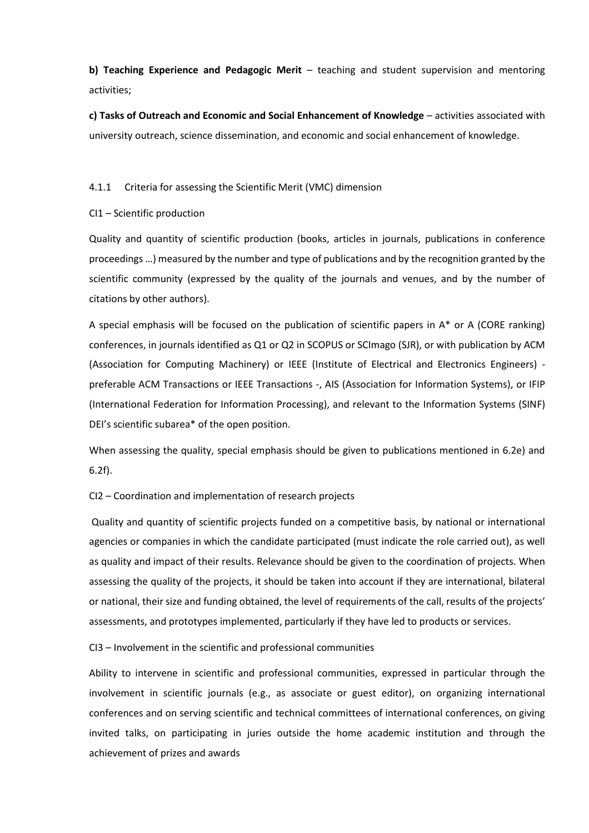**b) Teaching Experience and Pedagogic Merit** – teaching and student supervision and mentoring activities;

**c) Tasks of Outreach and Economic and Social Enhancement of Knowledge** – activities associated with university outreach, science dissemination, and economic and social enhancement of knowledge.

## 4.1.1 Criteria for assessing the Scientific Merit (VMC) dimension

## CI1 – Scientific production

Quality and quantity of scientific production (books, articles in journals, publications in conference proceedings …) measured by the number and type of publications and by the recognition granted by the scientific community (expressed by the quality of the journals and venues, and by the number of citations by other authors).

A special emphasis will be focused on the publication of scientific papers in A\* or A (CORE ranking) conferences, in journals identified as Q1 or Q2 in SCOPUS or SCImago (SJR), or with publication by ACM (Association for Computing Machinery) or IEEE (Institute of Electrical and Electronics Engineers) preferable ACM Transactions or IEEE Transactions -, AIS (Association for Information Systems), or IFIP (International Federation for Information Processing), and relevant to the Information Systems (SINF) DEI's scientific subarea\* of the open position.

When assessing the quality, special emphasis should be given to publications mentioned in 6.2e) and 6.2f).

CI2 – Coordination and implementation of research projects

Quality and quantity of scientific projects funded on a competitive basis, by national or international agencies or companies in which the candidate participated (must indicate the role carried out), as well as quality and impact of their results. Relevance should be given to the coordination of projects. When assessing the quality of the projects, it should be taken into account if they are international, bilateral or national, their size and funding obtained, the level of requirements of the call, results of the projects' assessments, and prototypes implemented, particularly if they have led to products or services.

CI3 – Involvement in the scientific and professional communities

Ability to intervene in scientific and professional communities, expressed in particular through the involvement in scientific journals (e.g., as associate or guest editor), on organizing international conferences and on serving scientific and technical committees of international conferences, on giving invited talks, on participating in juries outside the home academic institution and through the achievement of prizes and awards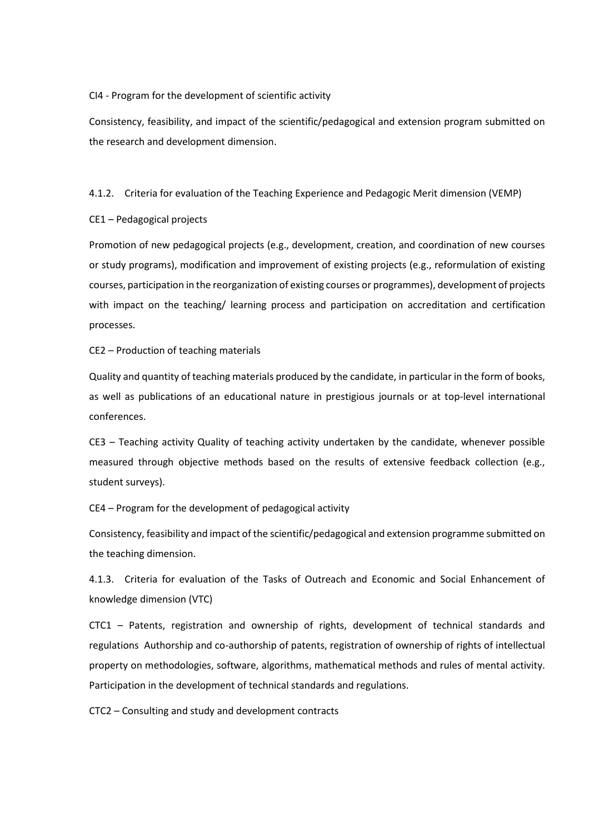CI4 - Program for the development of scientific activity

Consistency, feasibility, and impact of the scientific/pedagogical and extension program submitted on the research and development dimension.

4.1.2. Criteria for evaluation of the Teaching Experience and Pedagogic Merit dimension (VEMP)

CE1 – Pedagogical projects

Promotion of new pedagogical projects (e.g., development, creation, and coordination of new courses or study programs), modification and improvement of existing projects (e.g., reformulation of existing courses, participation in the reorganization of existing courses or programmes), development of projects with impact on the teaching/ learning process and participation on accreditation and certification processes.

CE2 – Production of teaching materials

Quality and quantity of teaching materials produced by the candidate, in particular in the form of books, as well as publications of an educational nature in prestigious journals or at top-level international conferences.

CE3 – Teaching activity Quality of teaching activity undertaken by the candidate, whenever possible measured through objective methods based on the results of extensive feedback collection (e.g., student surveys).

CE4 – Program for the development of pedagogical activity

Consistency, feasibility and impact of the scientific/pedagogical and extension programme submitted on the teaching dimension.

4.1.3. Criteria for evaluation of the Tasks of Outreach and Economic and Social Enhancement of knowledge dimension (VTC)

CTC1 – Patents, registration and ownership of rights, development of technical standards and regulations Authorship and co-authorship of patents, registration of ownership of rights of intellectual property on methodologies, software, algorithms, mathematical methods and rules of mental activity. Participation in the development of technical standards and regulations.

CTC2 – Consulting and study and development contracts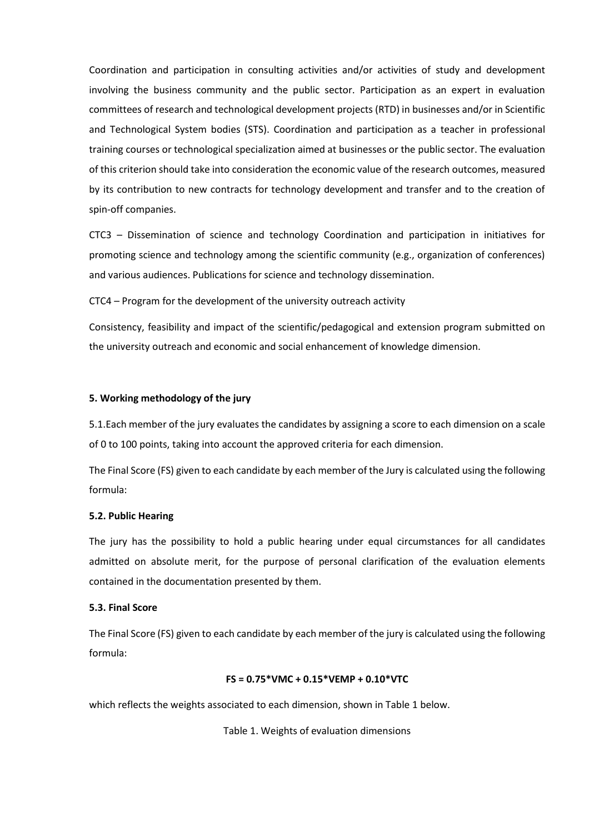Coordination and participation in consulting activities and/or activities of study and development involving the business community and the public sector. Participation as an expert in evaluation committees of research and technological development projects (RTD) in businesses and/or in Scientific and Technological System bodies (STS). Coordination and participation as a teacher in professional training courses or technological specialization aimed at businesses or the public sector. The evaluation of this criterion should take into consideration the economic value of the research outcomes, measured by its contribution to new contracts for technology development and transfer and to the creation of spin-off companies.

CTC3 – Dissemination of science and technology Coordination and participation in initiatives for promoting science and technology among the scientific community (e.g., organization of conferences) and various audiences. Publications for science and technology dissemination.

CTC4 – Program for the development of the university outreach activity

Consistency, feasibility and impact of the scientific/pedagogical and extension program submitted on the university outreach and economic and social enhancement of knowledge dimension.

### **5. Working methodology of the jury**

5.1.Each member of the jury evaluates the candidates by assigning a score to each dimension on a scale of 0 to 100 points, taking into account the approved criteria for each dimension.

The Final Score (FS) given to each candidate by each member of the Jury is calculated using the following formula:

### **5.2. Public Hearing**

The jury has the possibility to hold a public hearing under equal circumstances for all candidates admitted on absolute merit, for the purpose of personal clarification of the evaluation elements contained in the documentation presented by them.

## **5.3. Final Score**

The Final Score (FS) given to each candidate by each member of the jury is calculated using the following formula:

## **FS = 0.75\*VMC + 0.15\*VEMP + 0.10\*VTC**

which reflects the weights associated to each dimension, shown in Table 1 below.

Table 1. Weights of evaluation dimensions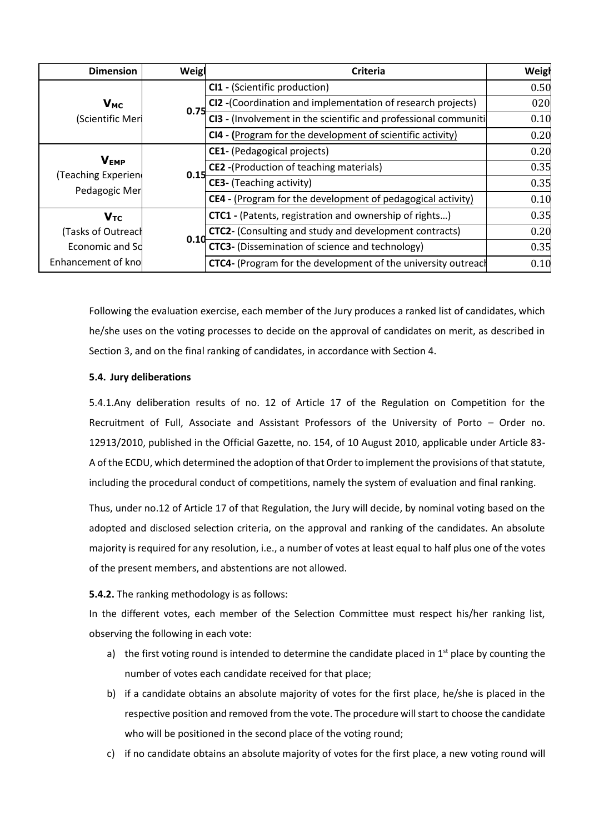| <b>Dimension</b>                                   | Weigl | <b>Criteria</b>                                                      | Weigh |
|----------------------------------------------------|-------|----------------------------------------------------------------------|-------|
| $V_{MC}$<br>(Scientific Meri                       | 0.75  | CI1 - (Scientific production)                                        | 0.50  |
|                                                    |       | CI2 -(Coordination and implementation of research projects)          | 020   |
|                                                    |       | CI3 - (Involvement in the scientific and professional communiti      | 0.10  |
|                                                    |       | CI4 - (Program for the development of scientific activity)           | 0.20  |
| <b>VEMP</b><br>(Teaching Experien<br>Pedagogic Mer | 0.15  | CE1- (Pedagogical projects)                                          | 0.20  |
|                                                    |       | CE2 -(Production of teaching materials)                              | 0.35  |
|                                                    |       | <b>CE3-</b> (Teaching activity)                                      | 0.35  |
|                                                    |       | <b>CE4</b> - (Program for the development of pedagogical activity)   | 0.10  |
| $V_{TC}$                                           | 0.10  | CTC1 - (Patents, registration and ownership of rights)               | 0.35  |
| (Tasks of Outreach                                 |       | CTC2- (Consulting and study and development contracts)               | 0.20  |
| Economic and So                                    |       | CTC3- (Dissemination of science and technology)                      | 0.35  |
| Enhancement of kno                                 |       | <b>CTC4-</b> (Program for the development of the university outreach | 0.10  |

Following the evaluation exercise, each member of the Jury produces a ranked list of candidates, which he/she uses on the voting processes to decide on the approval of candidates on merit, as described in Section 3, and on the final ranking of candidates, in accordance with Section 4.

# **5.4. Jury deliberations**

5.4.1.Any deliberation results of no. 12 of Article 17 of the Regulation on Competition for the Recruitment of Full, Associate and Assistant Professors of the University of Porto – Order no. 12913/2010, published in the Official Gazette, no. 154, of 10 August 2010, applicable under Article 83- A of the ECDU, which determined the adoption of that Order to implement the provisions of that statute, including the procedural conduct of competitions, namely the system of evaluation and final ranking.

Thus, under no.12 of Article 17 of that Regulation, the Jury will decide, by nominal voting based on the adopted and disclosed selection criteria, on the approval and ranking of the candidates. An absolute majority is required for any resolution, i.e., a number of votes at least equal to half plus one of the votes of the present members, and abstentions are not allowed.

# **5.4.2.** The ranking methodology is as follows:

In the different votes, each member of the Selection Committee must respect his/her ranking list, observing the following in each vote:

- a) the first voting round is intended to determine the candidate placed in  $1<sup>st</sup>$  place by counting the number of votes each candidate received for that place;
- b) if a candidate obtains an absolute majority of votes for the first place, he/she is placed in the respective position and removed from the vote. The procedure will start to choose the candidate who will be positioned in the second place of the voting round;
- c) if no candidate obtains an absolute majority of votes for the first place, a new voting round will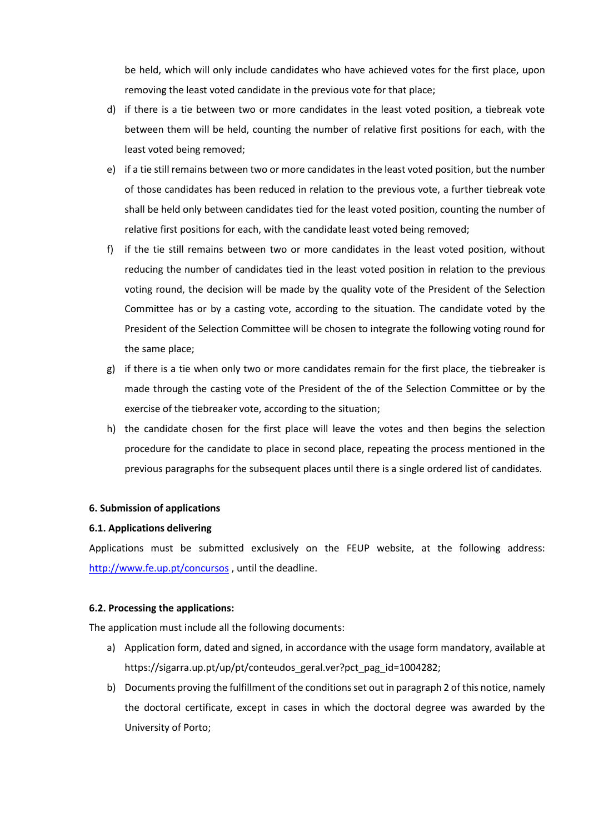be held, which will only include candidates who have achieved votes for the first place, upon removing the least voted candidate in the previous vote for that place;

- d) if there is a tie between two or more candidates in the least voted position, a tiebreak vote between them will be held, counting the number of relative first positions for each, with the least voted being removed;
- e) if a tie still remains between two or more candidates in the least voted position, but the number of those candidates has been reduced in relation to the previous vote, a further tiebreak vote shall be held only between candidates tied for the least voted position, counting the number of relative first positions for each, with the candidate least voted being removed;
- f) if the tie still remains between two or more candidates in the least voted position, without reducing the number of candidates tied in the least voted position in relation to the previous voting round, the decision will be made by the quality vote of the President of the Selection Committee has or by a casting vote, according to the situation. The candidate voted by the President of the Selection Committee will be chosen to integrate the following voting round for the same place;
- g) if there is a tie when only two or more candidates remain for the first place, the tiebreaker is made through the casting vote of the President of the of the Selection Committee or by the exercise of the tiebreaker vote, according to the situation;
- h) the candidate chosen for the first place will leave the votes and then begins the selection procedure for the candidate to place in second place, repeating the process mentioned in the previous paragraphs for the subsequent places until there is a single ordered list of candidates.

## **6. Submission of applications**

#### **6.1. Applications delivering**

Applications must be submitted exclusively on the FEUP website, at the following address: <http://www.fe.up.pt/concursos> , until the deadline.

#### **6.2. Processing the applications:**

The application must include all the following documents:

- a) Application form, dated and signed, in accordance with the usage form mandatory, available at https://sigarra.up.pt/up/pt/conteudos\_geral.ver?pct\_pag\_id=1004282;
- b) Documents proving the fulfillment of the conditions set out in paragraph 2 of this notice, namely the doctoral certificate, except in cases in which the doctoral degree was awarded by the University of Porto;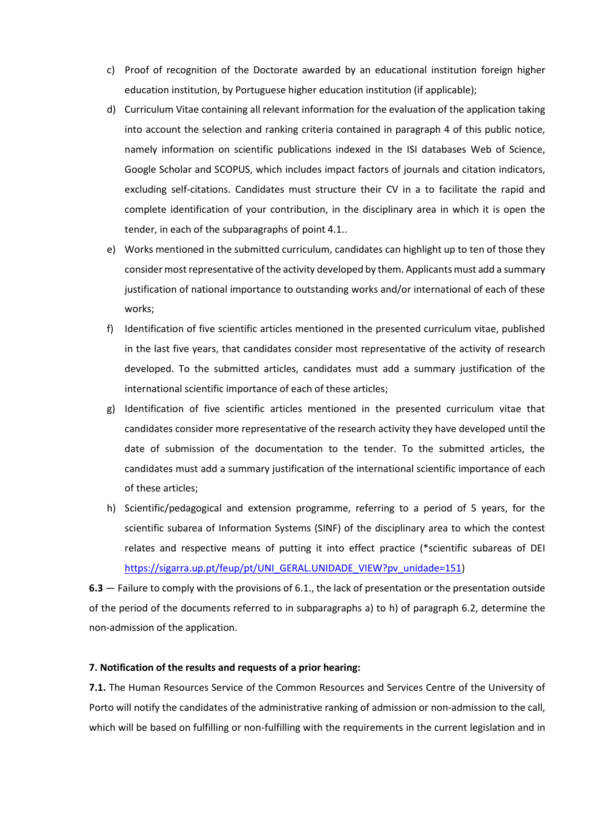- c) Proof of recognition of the Doctorate awarded by an educational institution foreign higher education institution, by Portuguese higher education institution (if applicable);
- d) Curriculum Vitae containing all relevant information for the evaluation of the application taking into account the selection and ranking criteria contained in paragraph 4 of this public notice, namely information on scientific publications indexed in the ISI databases Web of Science, Google Scholar and SCOPUS, which includes impact factors of journals and citation indicators, excluding self-citations. Candidates must structure their CV in a to facilitate the rapid and complete identification of your contribution, in the disciplinary area in which it is open the tender, in each of the subparagraphs of point 4.1..
- e) Works mentioned in the submitted curriculum, candidates can highlight up to ten of those they consider most representative of the activity developed by them. Applicants must add a summary justification of national importance to outstanding works and/or international of each of these works;
- f) Identification of five scientific articles mentioned in the presented curriculum vitae, published in the last five years, that candidates consider most representative of the activity of research developed. To the submitted articles, candidates must add a summary justification of the international scientific importance of each of these articles;
- g) Identification of five scientific articles mentioned in the presented curriculum vitae that candidates consider more representative of the research activity they have developed until the date of submission of the documentation to the tender. To the submitted articles, the candidates must add a summary justification of the international scientific importance of each of these articles;
- h) Scientific/pedagogical and extension programme, referring to a period of 5 years, for the scientific subarea of Information Systems (SINF) of the disciplinary area to which the contest relates and respective means of putting it into effect practice (\*scientific subareas of DEI [https://sigarra.up.pt/feup/pt/UNI\\_GERAL.UNIDADE\\_VIEW?pv\\_unidade=151\)](https://sigarra.up.pt/feup/pt/UNI_GERAL.UNIDADE_VIEW?pv_unidade=151)

**6.3** — Failure to comply with the provisions of 6.1., the lack of presentation or the presentation outside of the period of the documents referred to in subparagraphs a) to h) of paragraph 6.2, determine the non-admission of the application.

### **7. Notification of the results and requests of a prior hearing:**

**7.1.** The Human Resources Service of the Common Resources and Services Centre of the University of Porto will notify the candidates of the administrative ranking of admission or non-admission to the call, which will be based on fulfilling or non-fulfilling with the requirements in the current legislation and in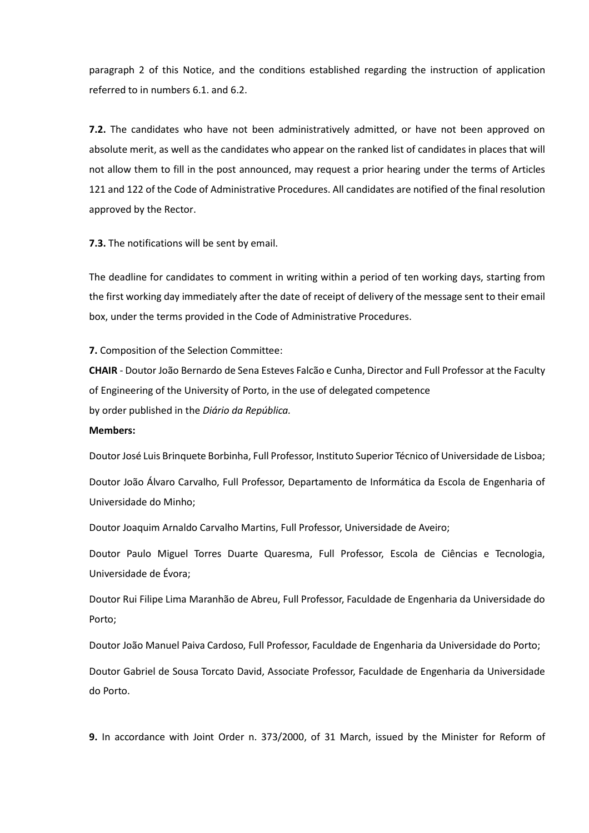paragraph 2 of this Notice, and the conditions established regarding the instruction of application referred to in numbers 6.1. and 6.2.

**7.2.** The candidates who have not been administratively admitted, or have not been approved on absolute merit, as well as the candidates who appear on the ranked list of candidates in places that will not allow them to fill in the post announced, may request a prior hearing under the terms of Articles 121 and 122 of the Code of Administrative Procedures. All candidates are notified of the final resolution approved by the Rector.

**7.3.** The notifications will be sent by email.

The deadline for candidates to comment in writing within a period of ten working days, starting from the first working day immediately after the date of receipt of delivery of the message sent to their email box, under the terms provided in the Code of Administrative Procedures.

**7.** Composition of the Selection Committee:

**CHAIR** - Doutor João Bernardo de Sena Esteves Falcão e Cunha, Director and Full Professor at the Faculty of Engineering of the University of Porto, in the use of delegated competence by order published in the *Diário da República.*

#### **Members:**

Doutor José Luis Brinquete Borbinha, Full Professor, Instituto Superior Técnico of Universidade de Lisboa;

Doutor João Álvaro Carvalho, Full Professor, Departamento de Informática da Escola de Engenharia of Universidade do Minho;

Doutor Joaquim Arnaldo Carvalho Martins, Full Professor, Universidade de Aveiro;

Doutor Paulo Miguel Torres Duarte Quaresma, Full Professor, Escola de Ciências e Tecnologia, Universidade de Évora;

Doutor Rui Filipe Lima Maranhão de Abreu, Full Professor, Faculdade de Engenharia da Universidade do Porto;

Doutor João Manuel Paiva Cardoso, Full Professor, Faculdade de Engenharia da Universidade do Porto;

Doutor Gabriel de Sousa Torcato David, Associate Professor, Faculdade de Engenharia da Universidade do Porto.

**9.** In accordance with Joint Order n. 373/2000, of 31 March, issued by the Minister for Reform of